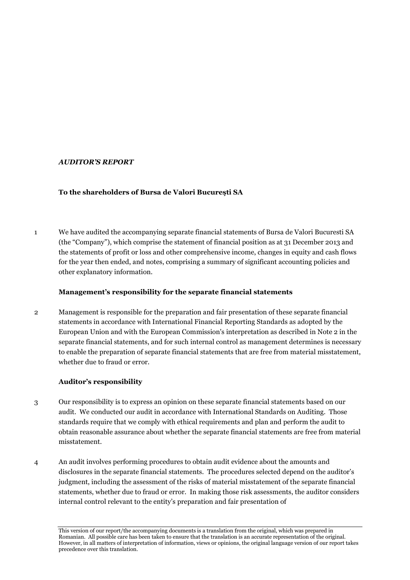# *AUDITOR'S REPORT*

# **To the shareholders of Bursa de Valori Bucureşti SA**

1 We have audited the accompanying separate financial statements of Bursa de Valori Bucuresti SA (the "Company"), which comprise the statement of financial position as at 31 December 2013 and the statements of profit or loss and other comprehensive income, changes in equity and cash flows for the year then ended, and notes, comprising a summary of significant accounting policies and other explanatory information.

# **Management's responsibility for the separate financial statements**

2 Management is responsible for the preparation and fair presentation of these separate financial statements in accordance with International Financial Reporting Standards as adopted by the European Union and with the European Commission's interpretation as described in Note 2 in the separate financial statements, and for such internal control as management determines is necessary to enable the preparation of separate financial statements that are free from material misstatement, whether due to fraud or error.

# **Auditor's responsibility**

- 3 Our responsibility is to express an opinion on these separate financial statements based on our audit. We conducted our audit in accordance with International Standards on Auditing. Those standards require that we comply with ethical requirements and plan and perform the audit to obtain reasonable assurance about whether the separate financial statements are free from material misstatement.
- 4 An audit involves performing procedures to obtain audit evidence about the amounts and disclosures in the separate financial statements. The procedures selected depend on the auditor's judgment, including the assessment of the risks of material misstatement of the separate financial statements, whether due to fraud or error. In making those risk assessments, the auditor considers internal control relevant to the entity's preparation and fair presentation of

This version of our report/the accompanying documents is a translation from the original, which was prepared in Romanian. All possible care has been taken to ensure that the translation is an accurate representation of the original. However, in all matters of interpretation of information, views or opinions, the original language version of our report takes precedence over this translation.